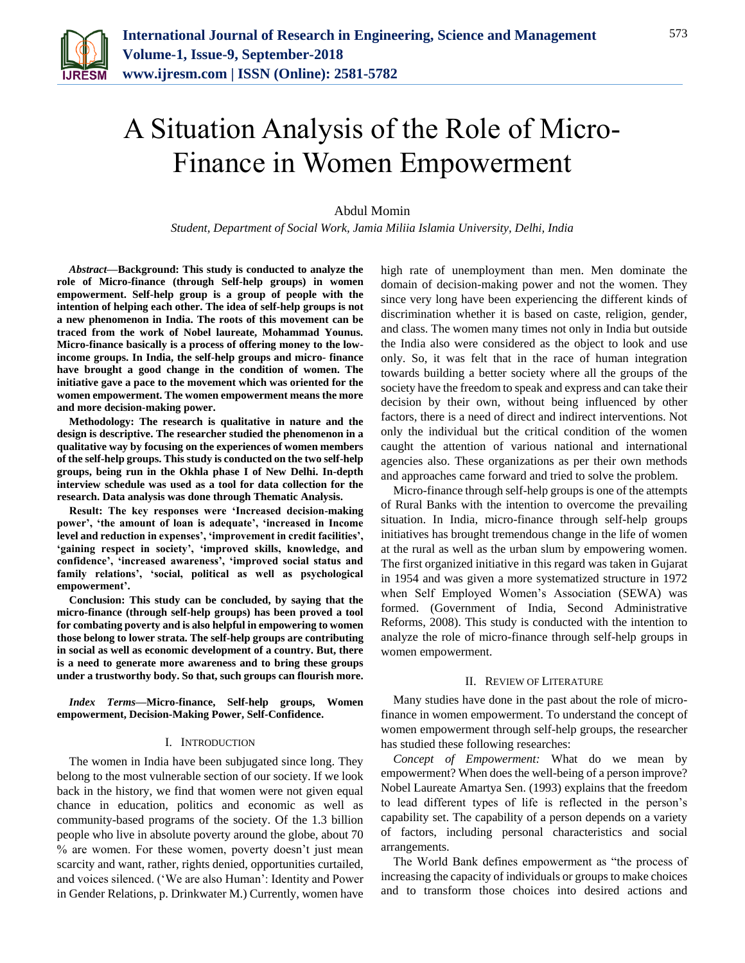

# A Situation Analysis of the Role of Micro-Finance in Women Empowerment

## Abdul Momin

*Student, Department of Social Work, Jamia Miliia Islamia University, Delhi, India*

*Abstract***—Background: This study is conducted to analyze the role of Micro-finance (through Self-help groups) in women empowerment. Self-help group is a group of people with the intention of helping each other. The idea of self-help groups is not a new phenomenon in India. The roots of this movement can be traced from the work of Nobel laureate, Mohammad Younus. Micro-finance basically is a process of offering money to the lowincome groups. In India, the self-help groups and micro- finance have brought a good change in the condition of women. The initiative gave a pace to the movement which was oriented for the women empowerment. The women empowerment means the more and more decision-making power.**

**Methodology: The research is qualitative in nature and the design is descriptive. The researcher studied the phenomenon in a qualitative way by focusing on the experiences of women members of the self-help groups. This study is conducted on the two self-help groups, being run in the Okhla phase I of New Delhi. In-depth interview schedule was used as a tool for data collection for the research. Data analysis was done through Thematic Analysis.** 

**Result: The key responses were 'Increased decision-making power', 'the amount of loan is adequate', 'increased in Income level and reduction in expenses', 'improvement in credit facilities', 'gaining respect in society', 'improved skills, knowledge, and confidence', 'increased awareness', 'improved social status and family relations', 'social, political as well as psychological empowerment'.**

**Conclusion: This study can be concluded, by saying that the micro-finance (through self-help groups) has been proved a tool for combating poverty and is also helpful in empowering to women those belong to lower strata. The self-help groups are contributing in social as well as economic development of a country. But, there is a need to generate more awareness and to bring these groups under a trustworthy body. So that, such groups can flourish more.** 

*Index Terms***—Micro-finance, Self-help groups, Women empowerment, Decision-Making Power, Self-Confidence.**

#### I. INTRODUCTION

The women in India have been subjugated since long. They belong to the most vulnerable section of our society. If we look back in the history, we find that women were not given equal chance in education, politics and economic as well as community-based programs of the society. Of the 1.3 billion people who live in absolute poverty around the globe, about 70 % are women. For these women, poverty doesn't just mean scarcity and want, rather, rights denied, opportunities curtailed, and voices silenced. ('We are also Human': Identity and Power in Gender Relations, p. Drinkwater M.) Currently, women have high rate of unemployment than men. Men dominate the domain of decision-making power and not the women. They since very long have been experiencing the different kinds of discrimination whether it is based on caste, religion, gender, and class. The women many times not only in India but outside the India also were considered as the object to look and use only. So, it was felt that in the race of human integration towards building a better society where all the groups of the society have the freedom to speak and express and can take their decision by their own, without being influenced by other factors, there is a need of direct and indirect interventions. Not only the individual but the critical condition of the women caught the attention of various national and international agencies also. These organizations as per their own methods and approaches came forward and tried to solve the problem.

Micro-finance through self-help groups is one of the attempts of Rural Banks with the intention to overcome the prevailing situation. In India, micro-finance through self-help groups initiatives has brought tremendous change in the life of women at the rural as well as the urban slum by empowering women. The first organized initiative in this regard was taken in Gujarat in 1954 and was given a more systematized structure in 1972 when Self Employed Women's Association (SEWA) was formed. (Government of India, Second Administrative Reforms, 2008). This study is conducted with the intention to analyze the role of micro-finance through self-help groups in women empowerment.

#### II. REVIEW OF LITERATURE

Many studies have done in the past about the role of microfinance in women empowerment. To understand the concept of women empowerment through self-help groups, the researcher has studied these following researches:

*Concept of Empowerment:* What do we mean by empowerment? When does the well-being of a person improve? Nobel Laureate Amartya Sen. (1993) explains that the freedom to lead different types of life is reflected in the person's capability set. The capability of a person depends on a variety of factors, including personal characteristics and social arrangements.

The World Bank defines empowerment as "the process of increasing the capacity of individuals or groups to make choices and to transform those choices into desired actions and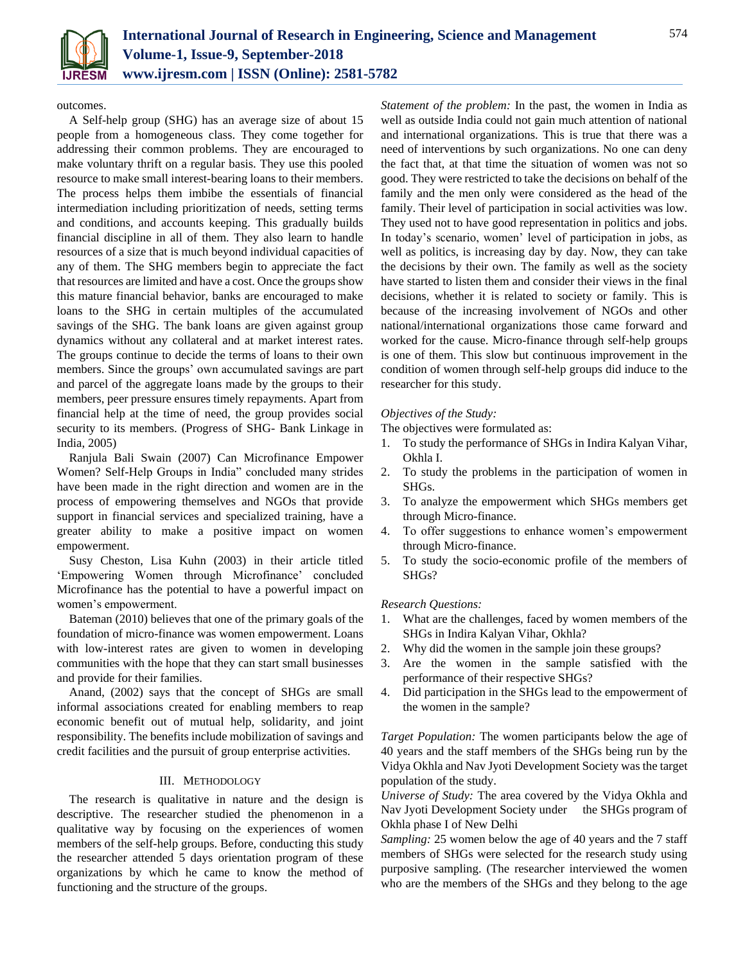

outcomes.

A Self-help group (SHG) has an average size of about 15 people from a homogeneous class. They come together for addressing their common problems. They are encouraged to make voluntary thrift on a regular basis. They use this pooled resource to make small interest-bearing loans to their members. The process helps them imbibe the essentials of financial intermediation including prioritization of needs, setting terms and conditions, and accounts keeping. This gradually builds financial discipline in all of them. They also learn to handle resources of a size that is much beyond individual capacities of any of them. The SHG members begin to appreciate the fact that resources are limited and have a cost. Once the groups show this mature financial behavior, banks are encouraged to make loans to the SHG in certain multiples of the accumulated savings of the SHG. The bank loans are given against group dynamics without any collateral and at market interest rates. The groups continue to decide the terms of loans to their own members. Since the groups' own accumulated savings are part and parcel of the aggregate loans made by the groups to their members, peer pressure ensures timely repayments. Apart from financial help at the time of need, the group provides social security to its members. (Progress of SHG- Bank Linkage in India, 2005)

Ranjula Bali Swain (2007) Can Microfinance Empower Women? Self-Help Groups in India" concluded many strides have been made in the right direction and women are in the process of empowering themselves and NGOs that provide support in financial services and specialized training, have a greater ability to make a positive impact on women empowerment.

Susy Cheston, Lisa Kuhn (2003) in their article titled 'Empowering Women through Microfinance' concluded Microfinance has the potential to have a powerful impact on women's empowerment.

Bateman (2010) believes that one of the primary goals of the foundation of micro-finance was women empowerment. Loans with low-interest rates are given to women in developing communities with the hope that they can start small businesses and provide for their families.

Anand, (2002) says that the concept of SHGs are small informal associations created for enabling members to reap economic benefit out of mutual help, solidarity, and joint responsibility. The benefits include mobilization of savings and credit facilities and the pursuit of group enterprise activities.

# III. METHODOLOGY

The research is qualitative in nature and the design is descriptive. The researcher studied the phenomenon in a qualitative way by focusing on the experiences of women members of the self-help groups. Before, conducting this study the researcher attended 5 days orientation program of these organizations by which he came to know the method of functioning and the structure of the groups.

*Statement of the problem:* In the past, the women in India as well as outside India could not gain much attention of national and international organizations. This is true that there was a need of interventions by such organizations. No one can deny the fact that, at that time the situation of women was not so good. They were restricted to take the decisions on behalf of the family and the men only were considered as the head of the family. Their level of participation in social activities was low. They used not to have good representation in politics and jobs. In today's scenario, women' level of participation in jobs, as well as politics, is increasing day by day. Now, they can take the decisions by their own. The family as well as the society have started to listen them and consider their views in the final decisions, whether it is related to society or family. This is because of the increasing involvement of NGOs and other national/international organizations those came forward and worked for the cause. Micro-finance through self-help groups is one of them. This slow but continuous improvement in the condition of women through self-help groups did induce to the researcher for this study.

# *Objectives of the Study:*

The objectives were formulated as:

- 1. To study the performance of SHGs in Indira Kalyan Vihar, Okhla I.
- 2. To study the problems in the participation of women in SHGs.
- 3. To analyze the empowerment which SHGs members get through Micro-finance.
- 4. To offer suggestions to enhance women's empowerment through Micro-finance.
- 5. To study the socio-economic profile of the members of SHGs?

# *Research Questions:*

- 1. What are the challenges, faced by women members of the SHGs in Indira Kalyan Vihar, Okhla?
- 2. Why did the women in the sample join these groups?
- 3. Are the women in the sample satisfied with the performance of their respective SHGs?
- 4. Did participation in the SHGs lead to the empowerment of the women in the sample?

*Target Population:* The women participants below the age of 40 years and the staff members of the SHGs being run by the Vidya Okhla and Nav Jyoti Development Society was the target population of the study.

*Universe of Study:* The area covered by the Vidya Okhla and Nav Jyoti Development Society under the SHGs program of Okhla phase I of New Delhi

*Sampling:* 25 women below the age of 40 years and the 7 staff members of SHGs were selected for the research study using purposive sampling. (The researcher interviewed the women who are the members of the SHGs and they belong to the age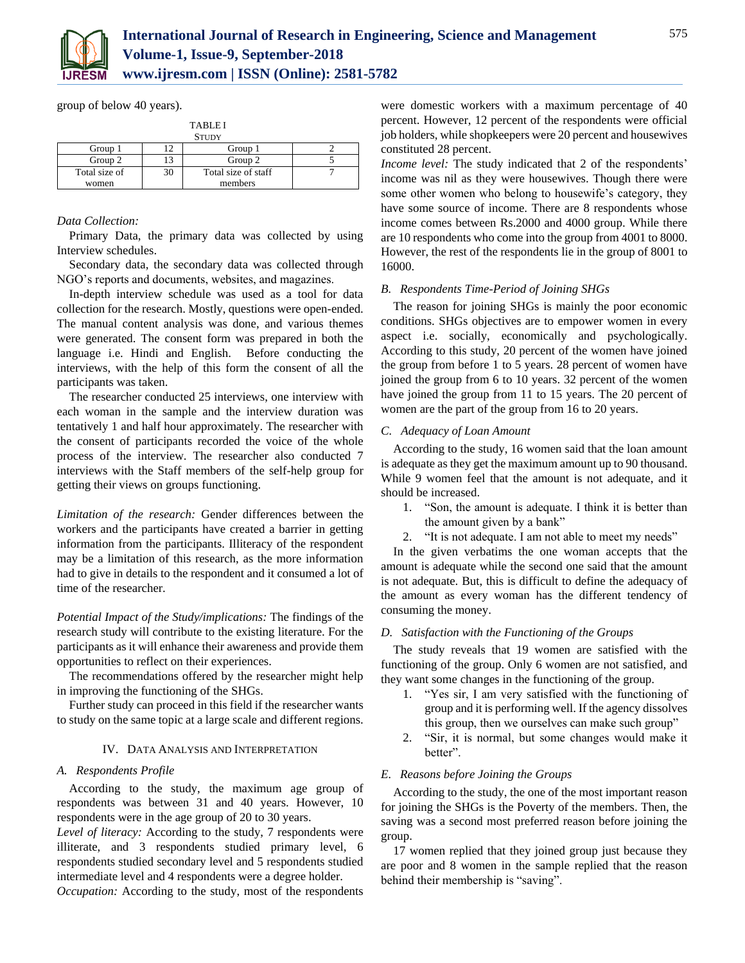

group of below 40 years).

| <b>TABLEI</b><br><b>STUDY</b> |    |                     |  |
|-------------------------------|----|---------------------|--|
| Group 1                       |    | Group 1             |  |
| Group 2                       |    | Group 2             |  |
| Total size of                 | 30 | Total size of staff |  |
| women                         |    | members             |  |

# *Data Collection:*

Primary Data, the primary data was collected by using Interview schedules.

Secondary data, the secondary data was collected through NGO's reports and documents, websites, and magazines.

In-depth interview schedule was used as a tool for data collection for the research. Mostly, questions were open-ended. The manual content analysis was done, and various themes were generated. The consent form was prepared in both the language i.e. Hindi and English. Before conducting the interviews, with the help of this form the consent of all the participants was taken.

The researcher conducted 25 interviews, one interview with each woman in the sample and the interview duration was tentatively 1 and half hour approximately. The researcher with the consent of participants recorded the voice of the whole process of the interview. The researcher also conducted 7 interviews with the Staff members of the self-help group for getting their views on groups functioning.

*Limitation of the research:* Gender differences between the workers and the participants have created a barrier in getting information from the participants. Illiteracy of the respondent may be a limitation of this research, as the more information had to give in details to the respondent and it consumed a lot of time of the researcher.

*Potential Impact of the Study/implications:* The findings of the research study will contribute to the existing literature. For the participants as it will enhance their awareness and provide them opportunities to reflect on their experiences.

The recommendations offered by the researcher might help in improving the functioning of the SHGs.

Further study can proceed in this field if the researcher wants to study on the same topic at a large scale and different regions.

# IV. DATA ANALYSIS AND INTERPRETATION

#### *A. Respondents Profile*

According to the study, the maximum age group of respondents was between 31 and 40 years. However, 10 respondents were in the age group of 20 to 30 years.

*Level of literacy:* According to the study, 7 respondents were illiterate, and 3 respondents studied primary level, 6 respondents studied secondary level and 5 respondents studied intermediate level and 4 respondents were a degree holder.

*Occupation:* According to the study, most of the respondents

were domestic workers with a maximum percentage of 40 percent. However, 12 percent of the respondents were official job holders, while shopkeepers were 20 percent and housewives constituted 28 percent.

*Income level:* The study indicated that 2 of the respondents' income was nil as they were housewives. Though there were some other women who belong to housewife's category, they have some source of income. There are 8 respondents whose income comes between Rs.2000 and 4000 group. While there are 10 respondents who come into the group from 4001 to 8000. However, the rest of the respondents lie in the group of 8001 to 16000.

#### *B. Respondents Time-Period of Joining SHGs*

The reason for joining SHGs is mainly the poor economic conditions. SHGs objectives are to empower women in every aspect i.e. socially, economically and psychologically. According to this study, 20 percent of the women have joined the group from before 1 to 5 years. 28 percent of women have joined the group from 6 to 10 years. 32 percent of the women have joined the group from 11 to 15 years. The 20 percent of women are the part of the group from 16 to 20 years.

# *C. Adequacy of Loan Amount*

According to the study, 16 women said that the loan amount is adequate as they get the maximum amount up to 90 thousand. While 9 women feel that the amount is not adequate, and it should be increased.

- 1. "Son, the amount is adequate. I think it is better than the amount given by a bank"
- 2. "It is not adequate. I am not able to meet my needs"

In the given verbatims the one woman accepts that the amount is adequate while the second one said that the amount is not adequate. But, this is difficult to define the adequacy of the amount as every woman has the different tendency of consuming the money.

#### *D. Satisfaction with the Functioning of the Groups*

The study reveals that 19 women are satisfied with the functioning of the group. Only 6 women are not satisfied, and they want some changes in the functioning of the group.

- 1. "Yes sir, I am very satisfied with the functioning of group and it is performing well. If the agency dissolves this group, then we ourselves can make such group"
- 2. "Sir, it is normal, but some changes would make it better".

### *E. Reasons before Joining the Groups*

According to the study, the one of the most important reason for joining the SHGs is the Poverty of the members. Then, the saving was a second most preferred reason before joining the group.

17 women replied that they joined group just because they are poor and 8 women in the sample replied that the reason behind their membership is "saving".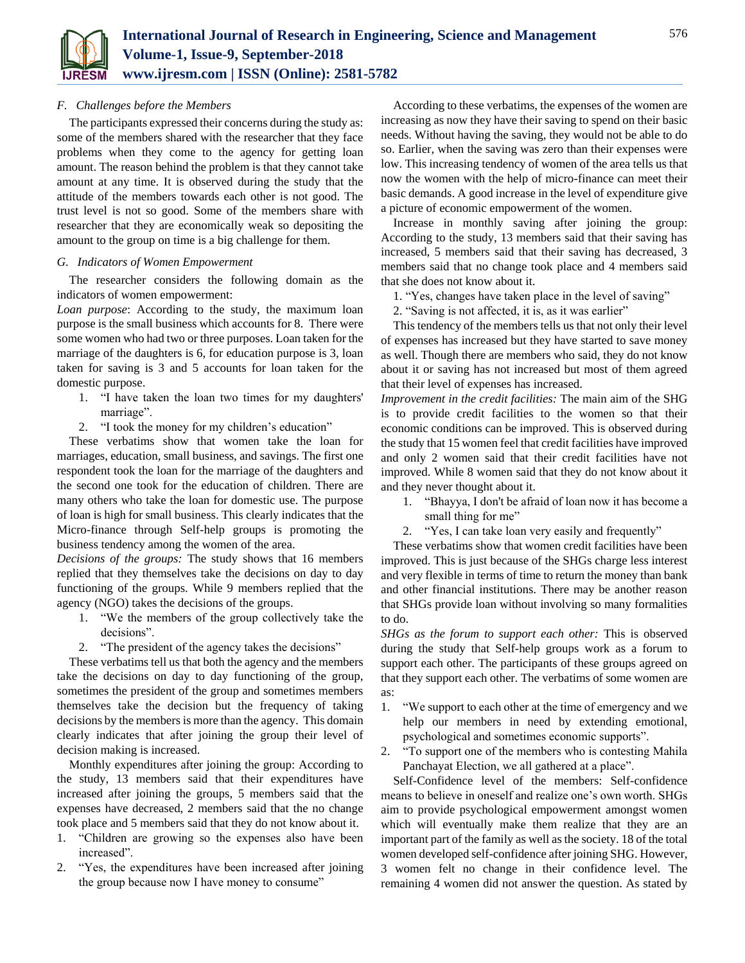

# *F. Challenges before the Members*

The participants expressed their concerns during the study as: some of the members shared with the researcher that they face problems when they come to the agency for getting loan amount. The reason behind the problem is that they cannot take amount at any time. It is observed during the study that the attitude of the members towards each other is not good. The trust level is not so good. Some of the members share with researcher that they are economically weak so depositing the amount to the group on time is a big challenge for them.

#### *G. Indicators of Women Empowerment*

The researcher considers the following domain as the indicators of women empowerment:

*Loan purpose*: According to the study, the maximum loan purpose is the small business which accounts for 8. There were some women who had two or three purposes. Loan taken for the marriage of the daughters is 6, for education purpose is 3, loan taken for saving is 3 and 5 accounts for loan taken for the domestic purpose.

- 1. "I have taken the loan two times for my daughters' marriage".
- 2. "I took the money for my children's education"

These verbatims show that women take the loan for marriages, education, small business, and savings. The first one respondent took the loan for the marriage of the daughters and the second one took for the education of children. There are many others who take the loan for domestic use. The purpose of loan is high for small business. This clearly indicates that the Micro-finance through Self-help groups is promoting the business tendency among the women of the area.

*Decisions of the groups:* The study shows that 16 members replied that they themselves take the decisions on day to day functioning of the groups. While 9 members replied that the agency (NGO) takes the decisions of the groups.

- 1. "We the members of the group collectively take the decisions".
- 2. "The president of the agency takes the decisions"

These verbatims tell us that both the agency and the members take the decisions on day to day functioning of the group, sometimes the president of the group and sometimes members themselves take the decision but the frequency of taking decisions by the members is more than the agency. This domain clearly indicates that after joining the group their level of decision making is increased.

Monthly expenditures after joining the group: According to the study, 13 members said that their expenditures have increased after joining the groups, 5 members said that the expenses have decreased, 2 members said that the no change took place and 5 members said that they do not know about it.

- 1. "Children are growing so the expenses also have been increased".
- 2. "Yes, the expenditures have been increased after joining the group because now I have money to consume"

According to these verbatims, the expenses of the women are increasing as now they have their saving to spend on their basic needs. Without having the saving, they would not be able to do so. Earlier, when the saving was zero than their expenses were low. This increasing tendency of women of the area tells us that now the women with the help of micro-finance can meet their basic demands. A good increase in the level of expenditure give a picture of economic empowerment of the women.

Increase in monthly saving after joining the group: According to the study, 13 members said that their saving has increased, 5 members said that their saving has decreased, 3 members said that no change took place and 4 members said that she does not know about it.

1. "Yes, changes have taken place in the level of saving"

2. "Saving is not affected, it is, as it was earlier"

This tendency of the members tells us that not only their level of expenses has increased but they have started to save money as well. Though there are members who said, they do not know about it or saving has not increased but most of them agreed that their level of expenses has increased.

*Improvement in the credit facilities:* The main aim of the SHG is to provide credit facilities to the women so that their economic conditions can be improved. This is observed during the study that 15 women feel that credit facilities have improved and only 2 women said that their credit facilities have not improved. While 8 women said that they do not know about it and they never thought about it.

- 1. "Bhayya, I don't be afraid of loan now it has become a small thing for me"
- 2. "Yes, I can take loan very easily and frequently"

These verbatims show that women credit facilities have been improved. This is just because of the SHGs charge less interest and very flexible in terms of time to return the money than bank and other financial institutions. There may be another reason that SHGs provide loan without involving so many formalities to do.

*SHGs as the forum to support each other:* This is observed during the study that Self-help groups work as a forum to support each other. The participants of these groups agreed on that they support each other. The verbatims of some women are as:

- 1. "We support to each other at the time of emergency and we help our members in need by extending emotional, psychological and sometimes economic supports".
- 2. "To support one of the members who is contesting Mahila Panchayat Election, we all gathered at a place".

Self-Confidence level of the members: Self-confidence means to believe in oneself and realize one's own worth. SHGs aim to provide psychological empowerment amongst women which will eventually make them realize that they are an important part of the family as well as the society. 18 of the total women developed self-confidence after joining SHG. However, 3 women felt no change in their confidence level. The remaining 4 women did not answer the question. As stated by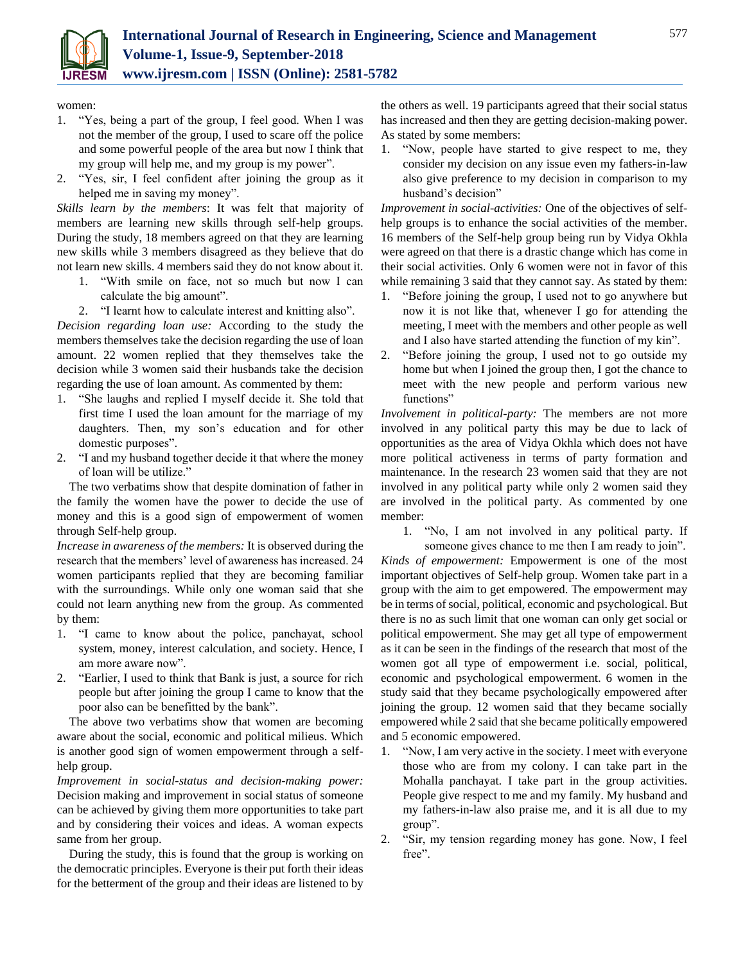

women:

- 1. "Yes, being a part of the group, I feel good. When I was not the member of the group, I used to scare off the police and some powerful people of the area but now I think that my group will help me, and my group is my power".
- 2. "Yes, sir, I feel confident after joining the group as it helped me in saving my money".

*Skills learn by the members*: It was felt that majority of members are learning new skills through self-help groups. During the study, 18 members agreed on that they are learning new skills while 3 members disagreed as they believe that do not learn new skills. 4 members said they do not know about it.

- 1. "With smile on face, not so much but now I can calculate the big amount".
- 2. "I learnt how to calculate interest and knitting also".

*Decision regarding loan use:* According to the study the members themselves take the decision regarding the use of loan amount. 22 women replied that they themselves take the decision while 3 women said their husbands take the decision regarding the use of loan amount. As commented by them:

- 1. "She laughs and replied I myself decide it. She told that first time I used the loan amount for the marriage of my daughters. Then, my son's education and for other domestic purposes".
- 2. "I and my husband together decide it that where the money of loan will be utilize."

The two verbatims show that despite domination of father in the family the women have the power to decide the use of money and this is a good sign of empowerment of women through Self-help group.

*Increase in awareness of the members:* It is observed during the research that the members' level of awareness has increased. 24 women participants replied that they are becoming familiar with the surroundings. While only one woman said that she could not learn anything new from the group. As commented by them:

- 1. "I came to know about the police, panchayat, school system, money, interest calculation, and society. Hence, I am more aware now".
- 2. "Earlier, I used to think that Bank is just, a source for rich people but after joining the group I came to know that the poor also can be benefitted by the bank".

The above two verbatims show that women are becoming aware about the social, economic and political milieus. Which is another good sign of women empowerment through a selfhelp group.

*Improvement in social-status and decision-making power:* Decision making and improvement in social status of someone can be achieved by giving them more opportunities to take part and by considering their voices and ideas. A woman expects same from her group.

During the study, this is found that the group is working on the democratic principles. Everyone is their put forth their ideas for the betterment of the group and their ideas are listened to by the others as well. 19 participants agreed that their social status has increased and then they are getting decision-making power. As stated by some members:

1. "Now, people have started to give respect to me, they consider my decision on any issue even my fathers-in-law also give preference to my decision in comparison to my husband's decision"

*Improvement in social-activities:* One of the objectives of selfhelp groups is to enhance the social activities of the member. 16 members of the Self-help group being run by Vidya Okhla were agreed on that there is a drastic change which has come in their social activities. Only 6 women were not in favor of this while remaining 3 said that they cannot say. As stated by them:

- 1. "Before joining the group, I used not to go anywhere but now it is not like that, whenever I go for attending the meeting, I meet with the members and other people as well and I also have started attending the function of my kin".
- 2. "Before joining the group, I used not to go outside my home but when I joined the group then, I got the chance to meet with the new people and perform various new functions"

*Involvement in political-party:* The members are not more involved in any political party this may be due to lack of opportunities as the area of Vidya Okhla which does not have more political activeness in terms of party formation and maintenance. In the research 23 women said that they are not involved in any political party while only 2 women said they are involved in the political party. As commented by one member:

1. "No, I am not involved in any political party. If

someone gives chance to me then I am ready to join". *Kinds of empowerment:* Empowerment is one of the most important objectives of Self-help group. Women take part in a group with the aim to get empowered. The empowerment may be in terms of social, political, economic and psychological. But there is no as such limit that one woman can only get social or political empowerment. She may get all type of empowerment as it can be seen in the findings of the research that most of the women got all type of empowerment i.e. social, political, economic and psychological empowerment. 6 women in the study said that they became psychologically empowered after joining the group. 12 women said that they became socially empowered while 2 said that she became politically empowered and 5 economic empowered.

- 1. "Now, I am very active in the society. I meet with everyone those who are from my colony. I can take part in the Mohalla panchayat. I take part in the group activities. People give respect to me and my family. My husband and my fathers-in-law also praise me, and it is all due to my group".
- 2. "Sir, my tension regarding money has gone. Now, I feel free".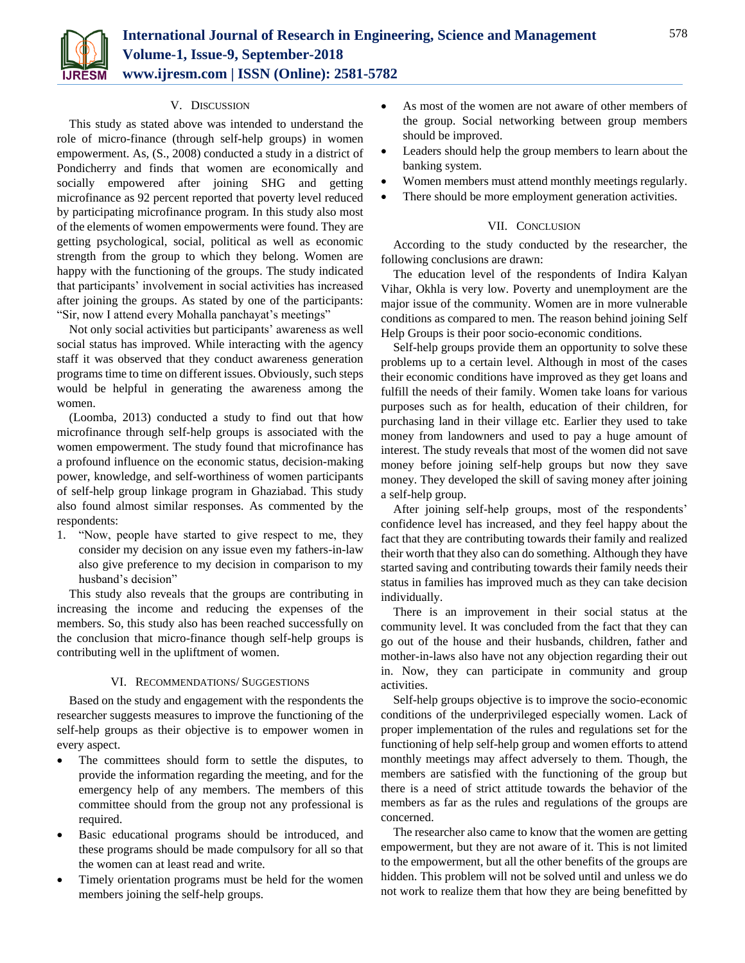

#### V. DISCUSSION

This study as stated above was intended to understand the role of micro-finance (through self-help groups) in women empowerment. As, (S., 2008) conducted a study in a district of Pondicherry and finds that women are economically and socially empowered after joining SHG and getting microfinance as 92 percent reported that poverty level reduced by participating microfinance program. In this study also most of the elements of women empowerments were found. They are getting psychological, social, political as well as economic strength from the group to which they belong. Women are happy with the functioning of the groups. The study indicated that participants' involvement in social activities has increased after joining the groups. As stated by one of the participants: "Sir, now I attend every Mohalla panchayat's meetings"

Not only social activities but participants' awareness as well social status has improved. While interacting with the agency staff it was observed that they conduct awareness generation programs time to time on different issues. Obviously, such steps would be helpful in generating the awareness among the women.

(Loomba, 2013) conducted a study to find out that how microfinance through self-help groups is associated with the women empowerment. The study found that microfinance has a profound influence on the economic status, decision-making power, knowledge, and self-worthiness of women participants of self-help group linkage program in Ghaziabad. This study also found almost similar responses. As commented by the respondents:

1. "Now, people have started to give respect to me, they consider my decision on any issue even my fathers-in-law also give preference to my decision in comparison to my husband's decision"

This study also reveals that the groups are contributing in increasing the income and reducing the expenses of the members. So, this study also has been reached successfully on the conclusion that micro-finance though self-help groups is contributing well in the upliftment of women.

# VI. RECOMMENDATIONS/ SUGGESTIONS

Based on the study and engagement with the respondents the researcher suggests measures to improve the functioning of the self-help groups as their objective is to empower women in every aspect.

- The committees should form to settle the disputes, to provide the information regarding the meeting, and for the emergency help of any members. The members of this committee should from the group not any professional is required.
- Basic educational programs should be introduced, and these programs should be made compulsory for all so that the women can at least read and write.
- Timely orientation programs must be held for the women members joining the self-help groups.
- As most of the women are not aware of other members of the group. Social networking between group members should be improved.
- Leaders should help the group members to learn about the banking system.
- Women members must attend monthly meetings regularly.
- There should be more employment generation activities.

# VII. CONCLUSION

According to the study conducted by the researcher, the following conclusions are drawn:

The education level of the respondents of Indira Kalyan Vihar, Okhla is very low. Poverty and unemployment are the major issue of the community. Women are in more vulnerable conditions as compared to men. The reason behind joining Self Help Groups is their poor socio-economic conditions.

Self-help groups provide them an opportunity to solve these problems up to a certain level. Although in most of the cases their economic conditions have improved as they get loans and fulfill the needs of their family. Women take loans for various purposes such as for health, education of their children, for purchasing land in their village etc. Earlier they used to take money from landowners and used to pay a huge amount of interest. The study reveals that most of the women did not save money before joining self-help groups but now they save money. They developed the skill of saving money after joining a self-help group.

After joining self-help groups, most of the respondents' confidence level has increased, and they feel happy about the fact that they are contributing towards their family and realized their worth that they also can do something. Although they have started saving and contributing towards their family needs their status in families has improved much as they can take decision individually.

There is an improvement in their social status at the community level. It was concluded from the fact that they can go out of the house and their husbands, children, father and mother-in-laws also have not any objection regarding their out in. Now, they can participate in community and group activities.

Self-help groups objective is to improve the socio-economic conditions of the underprivileged especially women. Lack of proper implementation of the rules and regulations set for the functioning of help self-help group and women efforts to attend monthly meetings may affect adversely to them. Though, the members are satisfied with the functioning of the group but there is a need of strict attitude towards the behavior of the members as far as the rules and regulations of the groups are concerned.

The researcher also came to know that the women are getting empowerment, but they are not aware of it. This is not limited to the empowerment, but all the other benefits of the groups are hidden. This problem will not be solved until and unless we do not work to realize them that how they are being benefitted by